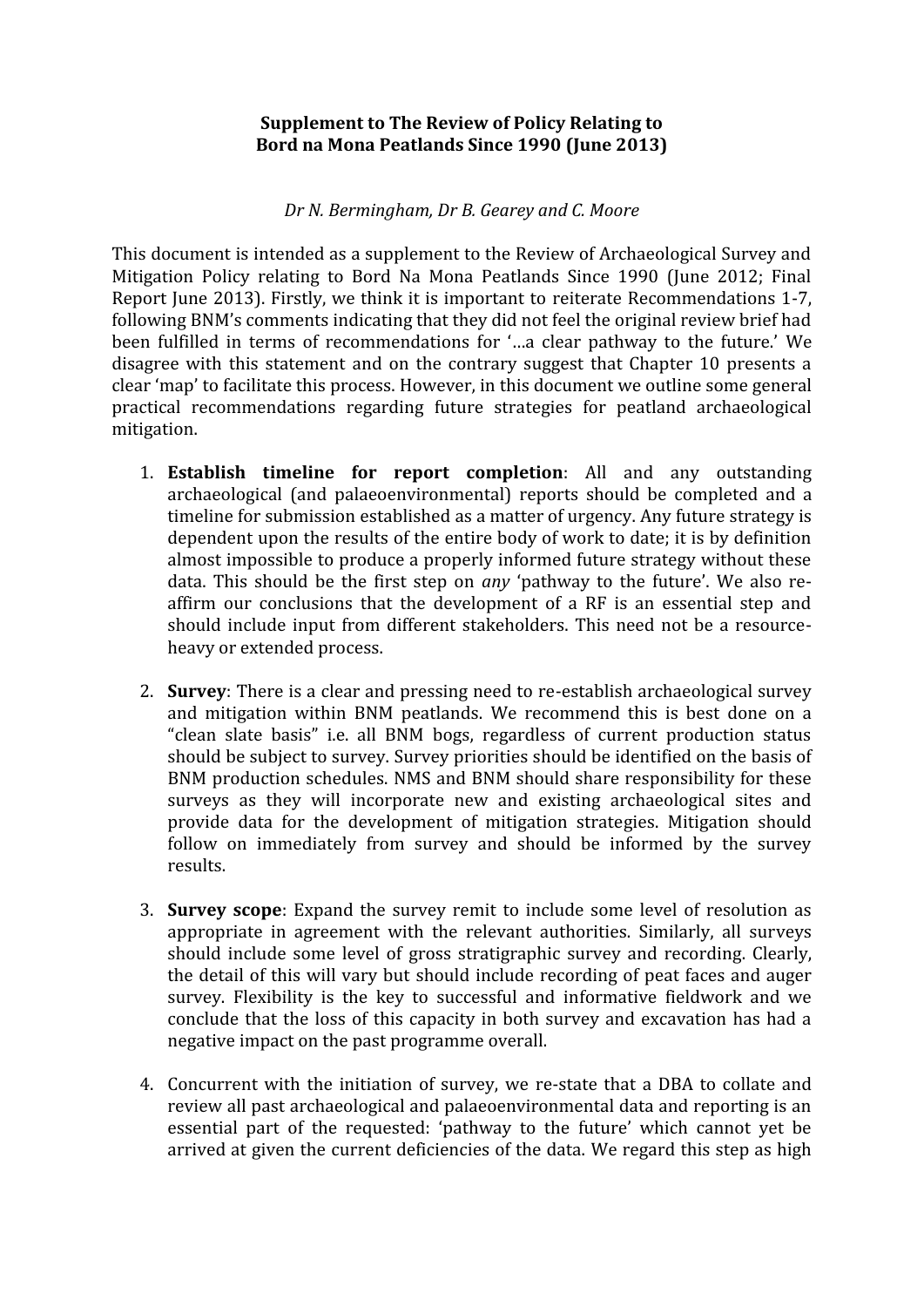## **Supplement to The Review of Policy Relating to Bord na Mona Peatlands Since 1990 (June 2013)**

*Dr N. Bermingham, Dr B. Gearey and C. Moore*

This document is intended as a supplement to the Review of Archaeological Survey and Mitigation Policy relating to Bord Na Mona Peatlands Since 1990 (June 2012; Final Report June 2013). Firstly, we think it is important to reiterate Recommendations 1-7, following BNM's comments indicating that they did not feel the original review brief had been fulfilled in terms of recommendations for '…a clear pathway to the future.' We disagree with this statement and on the contrary suggest that Chapter 10 presents a clear 'map' to facilitate this process. However, in this document we outline some general practical recommendations regarding future strategies for peatland archaeological mitigation.

- 1. **Establish timeline for report completion**: All and any outstanding archaeological (and palaeoenvironmental) reports should be completed and a timeline for submission established as a matter of urgency. Any future strategy is dependent upon the results of the entire body of work to date; it is by definition almost impossible to produce a properly informed future strategy without these data. This should be the first step on *any* 'pathway to the future'. We also re affirm our conclusions that the development of a RF is an essential step and should include input from different stakeholders. This need not be a resource heavy or extended process.
- 2. **Survey**: There is a clear and pressing need to re-establish archaeological survey and mitigation within BNM peatlands. We recommend this is best done on a "clean slate basis" i.e. all BNM bogs, regardless of current production status should be subject to survey. Survey priorities should be identified on the basis of BNM production schedules. NMS and BNM should share responsibility for these surveys as they will incorporate new and existing archaeological sites and provide data for the development of mitigation strategies. Mitigation should follow on immediately from survey and should be informed by the survey results.
- 3. **Survey scope**: Expand the survey remit to include some level of resolution as appropriate in agreement with the relevant authorities. Similarly, all surveys should include some level of gross stratigraphic survey and recording. Clearly, the detail of this will vary but should include recording of peat faces and auger survey. Flexibility is the key to successful and informative fieldwork and we conclude that the loss of this capacity in both survey and excavation has had a negative impact on the past programme overall.
- 4. Concurrent with the initiation of survey, we re-state that a DBA to collate and review all past archaeological and palaeoenvironmental data and reporting is an essential part of the requested: 'pathway to the future' which cannot yet be arrived at given the current deficiencies of the data. We regard this step as high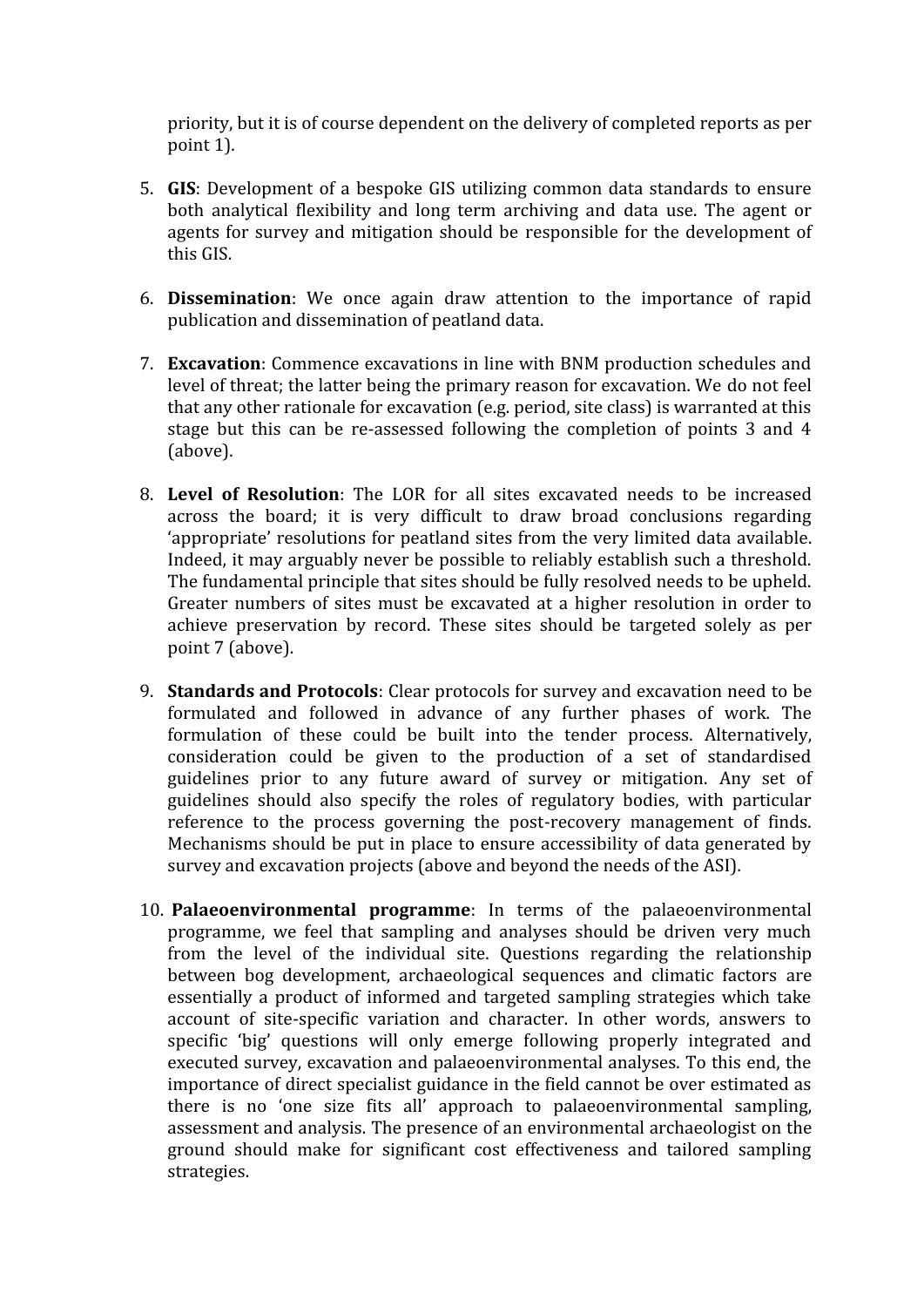priority, but it is of course dependent on the delivery of completed reports as per point 1).

- 5. **GIS**: Development of a bespoke GIS utilizing common data standards to ensure both analytical flexibility and long term archiving and data use. The agent or agents for survey and mitigation should be responsible for the development of this GIS.
- 6. **Dissemination**: We once again draw attention to the importance of rapid publication and dissemination of peatland data.
- 7. **Excavation**: Commence excavations in line with BNM production schedules and level of threat; the latter being the primary reason for excavation. We do not feel that any other rationale for excavation (e.g. period, site class) is warranted at this stage but this can be re-assessed following the completion of points 3 and 4 (above).
- 8. **Level of Resolution**: The LOR for all sites excavated needs to be increased across the board; it is very difficult to draw broad conclusions regarding 'appropriate' resolutions for peatland sites from the very limited data available. Indeed, it may arguably never be possible to reliably establish such a threshold. The fundamental principle that sites should be fully resolved needs to be upheld. Greater numbers of sites must be excavated at a higher resolution in order to achieve preservation by record. These sites should be targeted solely as per point 7 (above).
- 9. **Standards and Protocols**: Clear protocols for survey and excavation need to be formulated and followed in advance of any further phases of work. The formulation of these could be built into the tender process. Alternatively, consideration could be given to the production of a set of standardised guidelines prior to any future award of survey or mitigation. Any set of guidelines should also specify the roles of regulatory bodies, with particular reference to the process governing the post-recovery management of finds. Mechanisms should be put in place to ensure accessibility of data generated by survey and excavation projects (above and beyond the needs of the ASI).
- 10. **Palaeoenvironmental programme**: In terms of the palaeoenvironmental programme, we feel that sampling and analyses should be driven very much from the level of the individual site. Questions regarding the relationship between bog development, archaeological sequences and climatic factors are essentially a product of informed and targeted sampling strategies which take account of site-specific variation and character. In other words, answers to specific 'big' questions will only emerge following properly integrated and executed survey, excavation and palaeoenvironmental analyses. To this end, the importance of direct specialist guidance in the field cannot be over estimated as there is no 'one size fits all' approach to palaeoenvironmental sampling, assessment and analysis. The presence of an environmental archaeologist on the ground should make for significant cost effectiveness and tailored sampling strategies.